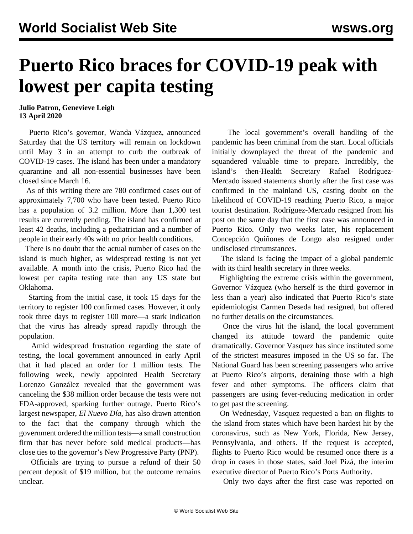## **Puerto Rico braces for COVID-19 peak with lowest per capita testing**

## **Julio Patron, Genevieve Leigh 13 April 2020**

 Puerto Rico's governor, Wanda Vázquez, announced Saturday that the US territory will remain on lockdown until May 3 in an attempt to curb the outbreak of COVID-19 cases. The island has been under a mandatory quarantine and all non-essential businesses have been closed since March 16.

 As of this writing there are 780 confirmed cases out of approximately 7,700 who have been tested. Puerto Rico has a population of 3.2 million. More than 1,300 test results are currently pending. The island has confirmed at least 42 deaths, including a pediatrician and a number of people in their early 40s with no prior health conditions.

 There is no doubt that the actual number of cases on the island is much higher, as widespread testing is not yet available. A month into the crisis, Puerto Rico had the lowest per capita testing rate than any US state but Oklahoma.

 Starting from the initial case, it took 15 days for the territory to register 100 confirmed cases. However, it only took three days to register 100 more—a stark indication that the virus has already spread rapidly through the population.

 Amid widespread frustration regarding the state of testing, the local government announced in early April that it had placed an order for [1 million](https://twitter.com/RobbyCortes/status/1245468726117400576) tests. The following week, newly appointed Health Secretary Lorenzo González revealed that the government [was](https://www.miamiherald.com/news/nation-world/world/americas/article241798951.html) [canceling](https://www.miamiherald.com/news/nation-world/world/americas/article241798951.html) the \$38 million order because the tests were not FDA-approved, sparking further outrage. Puerto Rico's largest newspaper, *[El Nuevo Día](https://www.elnuevodia.com/noticias/locales/nota/elgobiernointentocomprarpruebasdecoronaviruspor40millonesaempresassinexperienciayconvinculosalpnp-2558857/)*, has also drawn attention to the fact that the company through which the government ordered the million tests—a small construction firm that has never before sold medical products—has close ties to the governor's New Progressive Party (PNP).

 Officials are trying to pursue a refund of their 50 percent deposit of \$19 million, but the outcome remains unclear.

 The local government's overall handling of the pandemic has been criminal from the start. Local officials initially downplayed the threat of the pandemic and squandered valuable time to prepare. Incredibly, the island's then-Health Secretary Rafael Rodríguez-Mercado issued statements shortly after the first case was confirmed in the mainland US, casting doubt on the likelihood of COVID-19 reaching Puerto Rico, a major tourist destination. Rodríguez-Mercado resigned from his post on the same day that the first case was announced in Puerto Rico. Only two weeks later, his replacement Concepción Quiñones de Longo also resigned under undisclosed circumstances.

 The island is facing the impact of a global pandemic with its third health secretary in three weeks.

 Highlighting the extreme crisis within the government, Governor Vázquez (who herself is the [third](/en/articles/2019/07/25/rico-j25.html) governor in less than a year) also indicated that Puerto Rico's state epidemiologist Carmen Deseda had resigned, but offered no further details on the circumstances.

 Once the virus hit the island, the local government changed its attitude toward the pandemic quite dramatically. Governor Vasquez has since instituted some of the strictest measures imposed in the US so far. The National Guard has been screening passengers who arrive at Puerto Rico's airports, detaining those with a high fever and other symptoms. The officers claim that passengers are using fever-reducing medication in order to get past the screening.

 On Wednesday, Vasquez requested a ban on flights to the island from states which have been hardest hit by the coronavirus, such as New York, Florida, New Jersey, Pennsylvania, and others. If the request is accepted, flights to Puerto Rico would be resumed once there is a drop in cases in those states, said Joel Pizá, the interim executive director of Puerto Rico's Ports Authority.

Only two days after the first case was reported on